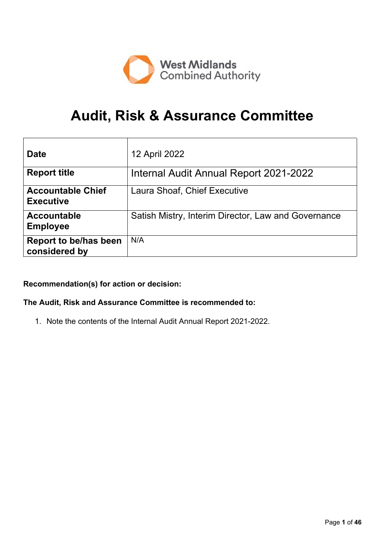

# **Audit, Risk & Assurance Committee**

| <b>Date</b>                                   | 12 April 2022                                       |
|-----------------------------------------------|-----------------------------------------------------|
| <b>Report title</b>                           | Internal Audit Annual Report 2021-2022              |
| <b>Accountable Chief</b><br><b>Executive</b>  | Laura Shoaf, Chief Executive                        |
| <b>Accountable</b><br><b>Employee</b>         | Satish Mistry, Interim Director, Law and Governance |
| <b>Report to be/has been</b><br>considered by | N/A                                                 |

### **Recommendation(s) for action or decision:**

### **The Audit, Risk and Assurance Committee is recommended to:**

1. Note the contents of the Internal Audit Annual Report 2021-2022.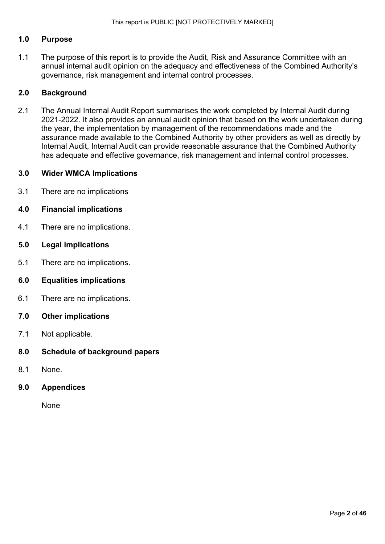### **1.0 Purpose**

1.1 The purpose of this report is to provide the Audit, Risk and Assurance Committee with an annual internal audit opinion on the adequacy and effectiveness of the Combined Authority's governance, risk management and internal control processes.

### **2.0 Background**

2.1 The Annual Internal Audit Report summarises the work completed by Internal Audit during 2021-2022. It also provides an annual audit opinion that based on the work undertaken during the year, the implementation by management of the recommendations made and the assurance made available to the Combined Authority by other providers as well as directly by Internal Audit, Internal Audit can provide reasonable assurance that the Combined Authority has adequate and effective governance, risk management and internal control processes.

### **3.0 Wider WMCA Implications**

3.1 There are no implications

### **4.0 Financial implications**

- 4.1 There are no implications.
- **5.0 Legal implications**
- 5.1 There are no implications.

### **6.0 Equalities implications**

- 6.1 There are no implications.
- **7.0 Other implications**
- 7.1 Not applicable.
- **8.0 Schedule of background papers**
- 8.1 None.
- **9.0 Appendices**

None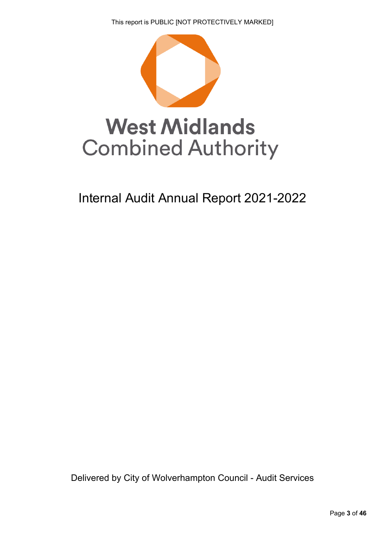This report is PUBLIC [NOT PROTECTIVELY MARKED]



# Internal Audit Annual Report 2021-2022

Delivered by City of Wolverhampton Council - Audit Services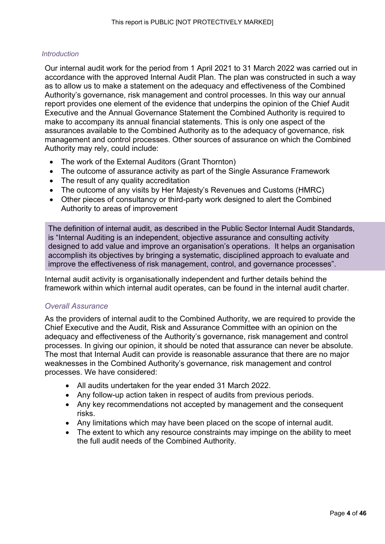### *Introduction*

Our internal audit work for the period from 1 April 2021 to 31 March 2022 was carried out in accordance with the approved Internal Audit Plan. The plan was constructed in such a way as to allow us to make a statement on the adequacy and effectiveness of the Combined Authority's governance, risk management and control processes. In this way our annual report provides one element of the evidence that underpins the opinion of the Chief Audit Executive and the Annual Governance Statement the Combined Authority is required to make to accompany its annual financial statements. This is only one aspect of the assurances available to the Combined Authority as to the adequacy of governance, risk management and control processes. Other sources of assurance on which the Combined Authority may rely, could include:

- The work of the External Auditors (Grant Thornton)
- The outcome of assurance activity as part of the Single Assurance Framework
- The result of any quality accreditation
- The outcome of any visits by Her Majesty's Revenues and Customs (HMRC)
- Other pieces of consultancy or third-party work designed to alert the Combined Authority to areas of improvement

The definition of internal audit, as described in the Public Sector Internal Audit Standards, is "Internal Auditing is an independent, objective assurance and consulting activity designed to add value and improve an organisation's operations. It helps an organisation accomplish its objectives by bringing a systematic, disciplined approach to evaluate and improve the effectiveness of risk management, control, and governance processes".

Internal audit activity is organisationally independent and further details behind the framework within which internal audit operates, can be found in the internal audit charter.

### *Overall Assurance*

As the providers of internal audit to the Combined Authority, we are required to provide the Chief Executive and the Audit, Risk and Assurance Committee with an opinion on the adequacy and effectiveness of the Authority's governance, risk management and control processes. In giving our opinion, it should be noted that assurance can never be absolute. The most that Internal Audit can provide is reasonable assurance that there are no major weaknesses in the Combined Authority's governance, risk management and control processes. We have considered:

- All audits undertaken for the year ended 31 March 2022.
- Any follow-up action taken in respect of audits from previous periods.
- Any key recommendations not accepted by management and the consequent risks.
- Any limitations which may have been placed on the scope of internal audit.
- The extent to which any resource constraints may impinge on the ability to meet the full audit needs of the Combined Authority.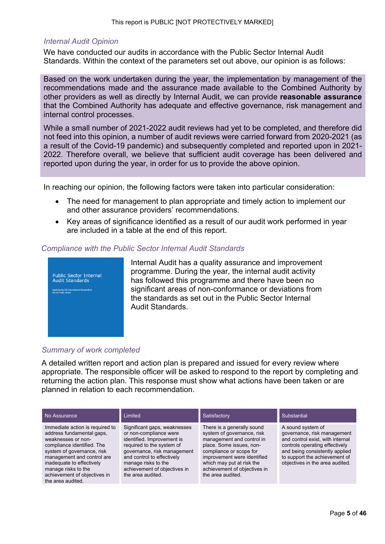### *Internal Audit Opinion*

We have conducted our audits in accordance with the Public Sector Internal Audit Standards. Within the context of the parameters set out above, our opinion is as follows:

Based on the work undertaken during the year, the implementation by management of the recommendations made and the assurance made available to the Combined Authority by other providers as well as directly by Internal Audit, we can provide **reasonable assurance** that the Combined Authority has adequate and effective governance, risk management and internal control processes.

While a small number of 2021-2022 audit reviews had yet to be completed, and therefore did not feed into this opinion, a number of audit reviews were carried forward from 2020-2021 (as a result of the Covid-19 pandemic) and subsequently completed and reported upon in 2021- 2022. Therefore overall, we believe that sufficient audit coverage has been delivered and reported upon during the year, in order for us to provide the above opinion.

In reaching our opinion, the following factors were taken into particular consideration:

- The need for management to plan appropriate and timely action to implement our and other assurance providers' recommendations.
- Key areas of significance identified as a result of our audit work performed in year are included in a table at the end of this report.

### *Compliance with the Public Sector Internal Audit Standards*



Internal Audit has a quality assurance and improvement programme. During the year, the internal audit activity has followed this programme and there have been no significant areas of non-conformance or deviations from the standards as set out in the Public Sector Internal Audit Standards.

### *Summary of work completed*

A detailed written report and action plan is prepared and issued for every review where appropriate. The responsible officer will be asked to respond to the report by completing and returning the action plan. This response must show what actions have been taken or are planned in relation to each recommendation.

| No Assurance                                                                                                                                                                                                                                                                          | Limited                                                                                                                                                                                                                                                    | Satisfactory                                                                                                                                                                                                                                                  | Substantial                                                                                                                                                                                                                  |
|---------------------------------------------------------------------------------------------------------------------------------------------------------------------------------------------------------------------------------------------------------------------------------------|------------------------------------------------------------------------------------------------------------------------------------------------------------------------------------------------------------------------------------------------------------|---------------------------------------------------------------------------------------------------------------------------------------------------------------------------------------------------------------------------------------------------------------|------------------------------------------------------------------------------------------------------------------------------------------------------------------------------------------------------------------------------|
| Immediate action is required to<br>address fundamental gaps,<br>weaknesses or non-<br>compliance identified. The<br>system of governance, risk<br>management and control are<br>inadequate to effectively<br>manage risks to the<br>achievement of objectives in<br>the area audited. | Significant gaps, weaknesses<br>or non-compliance were<br>identified. Improvement is<br>required to the system of<br>governance, risk management<br>and control to effectively<br>manage risks to the<br>achievement of objectives in<br>the area audited. | There is a generally sound<br>system of governance, risk<br>management and control in<br>place. Some issues, non-<br>compliance or scope for<br>improvement were identified<br>which may put at risk the<br>achievement of objectives in<br>the area audited. | A sound system of<br>governance, risk management<br>and control exist, with internal<br>controls operating effectively<br>and being consistently applied<br>to support the achievement of<br>objectives in the area audited. |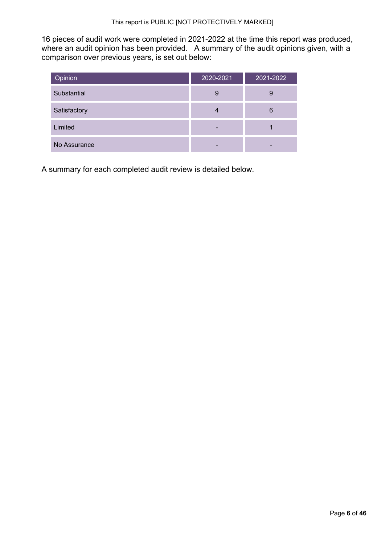16 pieces of audit work were completed in 2021-2022 at the time this report was produced, where an audit opinion has been provided. A summary of the audit opinions given, with a comparison over previous years, is set out below:

| Opinion      | 2020-2021 | 2021-2022 |
|--------------|-----------|-----------|
| Substantial  | 9         | 9         |
| Satisfactory | 4         | 6         |
| Limited      |           |           |
| No Assurance | -         |           |

A summary for each completed audit review is detailed below.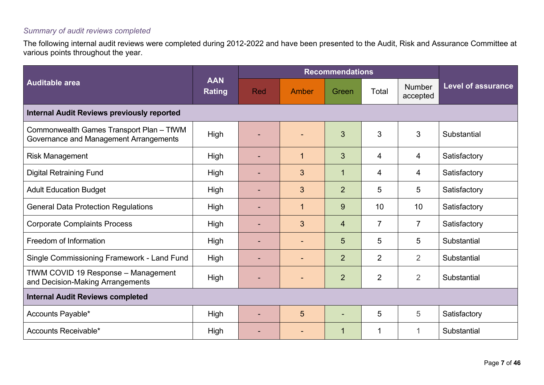### *Summary of audit reviews completed*

The following internal audit reviews were completed during 2012-2022 and have been presented to the Audit, Risk and Assurance Committee at various points throughout the year.

|                                                                                    |                             | <b>Recommendations</b> |              |                |                |                           |                           |  |
|------------------------------------------------------------------------------------|-----------------------------|------------------------|--------------|----------------|----------------|---------------------------|---------------------------|--|
| Auditable area                                                                     | <b>AAN</b><br><b>Rating</b> | <b>Red</b>             | Amber        | Green          | Total          | <b>Number</b><br>accepted | <b>Level of assurance</b> |  |
| <b>Internal Audit Reviews previously reported</b>                                  |                             |                        |              |                |                |                           |                           |  |
| Commonwealth Games Transport Plan - TfWM<br>Governance and Management Arrangements | High                        |                        |              | 3              | 3              | 3                         | Substantial               |  |
| <b>Risk Management</b>                                                             | High                        |                        | $\mathbf{1}$ | $\overline{3}$ | $\overline{4}$ | 4                         | Satisfactory              |  |
| <b>Digital Retraining Fund</b>                                                     | High                        |                        | 3            | $\mathbf{1}$   | $\overline{4}$ | 4                         | Satisfactory              |  |
| <b>Adult Education Budget</b>                                                      | High                        |                        | 3            | $\overline{2}$ | 5              | 5                         | Satisfactory              |  |
| <b>General Data Protection Regulations</b>                                         | High                        |                        | $\mathbf{1}$ | 9              | 10             | 10                        | Satisfactory              |  |
| <b>Corporate Complaints Process</b>                                                | High                        |                        | 3            | $\overline{4}$ | $\overline{7}$ | $\overline{7}$            | Satisfactory              |  |
| Freedom of Information                                                             | High                        |                        |              | 5              | 5              | 5                         | Substantial               |  |
| Single Commissioning Framework - Land Fund                                         | High                        |                        |              | 2              | $\overline{2}$ | $\overline{2}$            | Substantial               |  |
| TfWM COVID 19 Response - Management<br>and Decision-Making Arrangements            | <b>High</b>                 |                        |              | $\overline{2}$ | $\overline{2}$ | $\overline{2}$            | Substantial               |  |
| <b>Internal Audit Reviews completed</b>                                            |                             |                        |              |                |                |                           |                           |  |
| Accounts Payable*                                                                  | High                        | $\blacksquare$         | 5            |                | 5              | 5                         | Satisfactory              |  |
| Accounts Receivable*                                                               | High                        |                        |              | $\mathbf{1}$   | 1              | 1                         | Substantial               |  |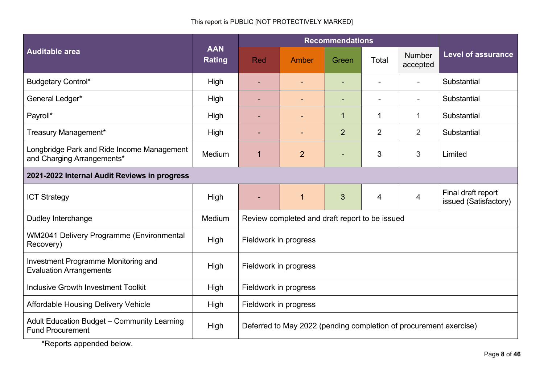### This report is PUBLIC [NOT PROTECTIVELY MARKED]

|                                                                          | <b>AAN</b><br><b>Rating</b> | <b>Recommendations</b>                                            |                                                |                |                |                    |                                             |
|--------------------------------------------------------------------------|-----------------------------|-------------------------------------------------------------------|------------------------------------------------|----------------|----------------|--------------------|---------------------------------------------|
| <b>Auditable area</b>                                                    |                             | <b>Red</b>                                                        | Amber                                          | Green          | Total          | Number<br>accepted | <b>Level of assurance</b>                   |
| <b>Budgetary Control*</b>                                                | High                        |                                                                   |                                                |                |                |                    | Substantial                                 |
| General Ledger*                                                          | High                        |                                                                   |                                                |                |                |                    | Substantial                                 |
| Payroll*                                                                 | High                        |                                                                   |                                                | 1              | 1              | $\mathbf 1$        | Substantial                                 |
| Treasury Management*                                                     | High                        |                                                                   |                                                | $\overline{2}$ | $\overline{2}$ | $\overline{2}$     | Substantial                                 |
| Longbridge Park and Ride Income Management<br>and Charging Arrangements* | Medium                      | 1                                                                 | $\overline{2}$                                 |                | 3              | 3                  | Limited                                     |
| 2021-2022 Internal Audit Reviews in progress                             |                             |                                                                   |                                                |                |                |                    |                                             |
| <b>ICT Strategy</b>                                                      | High                        |                                                                   | $\mathbf 1$                                    | 3              | 4              | $\overline{4}$     | Final draft report<br>issued (Satisfactory) |
| Dudley Interchange                                                       | Medium                      |                                                                   | Review completed and draft report to be issued |                |                |                    |                                             |
| WM2041 Delivery Programme (Environmental<br>Recovery)                    | High                        | Fieldwork in progress                                             |                                                |                |                |                    |                                             |
| Investment Programme Monitoring and<br><b>Evaluation Arrangements</b>    | High                        | Fieldwork in progress                                             |                                                |                |                |                    |                                             |
| <b>Inclusive Growth Investment Toolkit</b>                               | High                        | Fieldwork in progress                                             |                                                |                |                |                    |                                             |
| <b>Affordable Housing Delivery Vehicle</b>                               | High                        | Fieldwork in progress                                             |                                                |                |                |                    |                                             |
| Adult Education Budget - Community Learning<br><b>Fund Procurement</b>   | High                        | Deferred to May 2022 (pending completion of procurement exercise) |                                                |                |                |                    |                                             |

\*Reports appended below.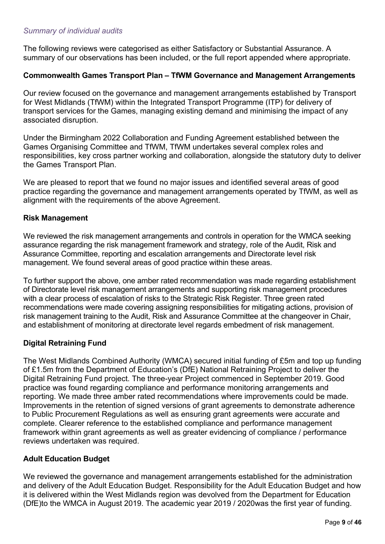### *Summary of individual audits*

The following reviews were categorised as either Satisfactory or Substantial Assurance. A summary of our observations has been included, or the full report appended where appropriate.

### **Commonwealth Games Transport Plan – TfWM Governance and Management Arrangements**

Our review focused on the governance and management arrangements established by Transport for West Midlands (TfWM) within the Integrated Transport Programme (ITP) for delivery of transport services for the Games, managing existing demand and minimising the impact of any associated disruption.

Under the Birmingham 2022 Collaboration and Funding Agreement established between the Games Organising Committee and TfWM, TfWM undertakes several complex roles and responsibilities, key cross partner working and collaboration, alongside the statutory duty to deliver the Games Transport Plan.

We are pleased to report that we found no major issues and identified several areas of good practice regarding the governance and management arrangements operated by TfWM, as well as alignment with the requirements of the above Agreement.

### **Risk Management**

We reviewed the risk management arrangements and controls in operation for the WMCA seeking assurance regarding the risk management framework and strategy, role of the Audit, Risk and Assurance Committee, reporting and escalation arrangements and Directorate level risk management. We found several areas of good practice within these areas.

To further support the above, one amber rated recommendation was made regarding establishment of Directorate level risk management arrangements and supporting risk management procedures with a clear process of escalation of risks to the Strategic Risk Register. Three green rated recommendations were made covering assigning responsibilities for mitigating actions, provision of risk management training to the Audit, Risk and Assurance Committee at the changeover in Chair, and establishment of monitoring at directorate level regards embedment of risk management.

### **Digital Retraining Fund**

The West Midlands Combined Authority (WMCA) secured initial funding of £5m and top up funding of £1.5m from the Department of Education's (DfE) National Retraining Project to deliver the Digital Retraining Fund project. The three-year Project commenced in September 2019. Good practice was found regarding compliance and performance monitoring arrangements and reporting. We made three amber rated recommendations where improvements could be made. Improvements in the retention of signed versions of grant agreements to demonstrate adherence to Public Procurement Regulations as well as ensuring grant agreements were accurate and complete. Clearer reference to the established compliance and performance management framework within grant agreements as well as greater evidencing of compliance / performance reviews undertaken was required.

### **Adult Education Budget**

We reviewed the governance and management arrangements established for the administration and delivery of the Adult Education Budget. Responsibility for the Adult Education Budget and how it is delivered within the West Midlands region was devolved from the Department for Education (DfE)to the WMCA in August 2019. The academic year 2019 / 2020was the first year of funding.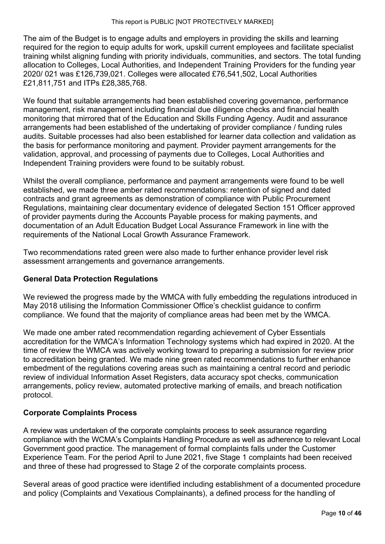The aim of the Budget is to engage adults and employers in providing the skills and learning required for the region to equip adults for work, upskill current employees and facilitate specialist training whilst aligning funding with priority individuals, communities, and sectors. The total funding allocation to Colleges, Local Authorities, and Independent Training Providers for the funding year 2020/ 021 was £126,739,021. Colleges were allocated £76,541,502, Local Authorities £21,811,751 and ITPs £28,385,768.

We found that suitable arrangements had been established covering governance, performance management, risk management including financial due diligence checks and financial health monitoring that mirrored that of the Education and Skills Funding Agency. Audit and assurance arrangements had been established of the undertaking of provider compliance / funding rules audits. Suitable processes had also been established for learner data collection and validation as the basis for performance monitoring and payment. Provider payment arrangements for the validation, approval, and processing of payments due to Colleges, Local Authorities and Independent Training providers were found to be suitably robust.

Whilst the overall compliance, performance and payment arrangements were found to be well established, we made three amber rated recommendations: retention of signed and dated contracts and grant agreements as demonstration of compliance with Public Procurement Regulations, maintaining clear documentary evidence of delegated Section 151 Officer approved of provider payments during the Accounts Payable process for making payments, and documentation of an Adult Education Budget Local Assurance Framework in line with the requirements of the National Local Growth Assurance Framework.

Two recommendations rated green were also made to further enhance provider level risk assessment arrangements and governance arrangements.

### **General Data Protection Regulations**

We reviewed the progress made by the WMCA with fully embedding the regulations introduced in May 2018 utilising the Information Commissioner Office's checklist guidance to confirm compliance. We found that the majority of compliance areas had been met by the WMCA.

We made one amber rated recommendation regarding achievement of Cyber Essentials accreditation for the WMCA's Information Technology systems which had expired in 2020. At the time of review the WMCA was actively working toward to preparing a submission for review prior to accreditation being granted. We made nine green rated recommendations to further enhance embedment of the regulations covering areas such as maintaining a central record and periodic review of individual Information Asset Registers, data accuracy spot checks, communication arrangements, policy review, automated protective marking of emails, and breach notification protocol.

### **Corporate Complaints Process**

A review was undertaken of the corporate complaints process to seek assurance regarding compliance with the WCMA's Complaints Handling Procedure as well as adherence to relevant Local Government good practice. The management of formal complaints falls under the Customer Experience Team. For the period April to June 2021, five Stage 1 complaints had been received and three of these had progressed to Stage 2 of the corporate complaints process.

Several areas of good practice were identified including establishment of a documented procedure and policy (Complaints and Vexatious Complainants), a defined process for the handling of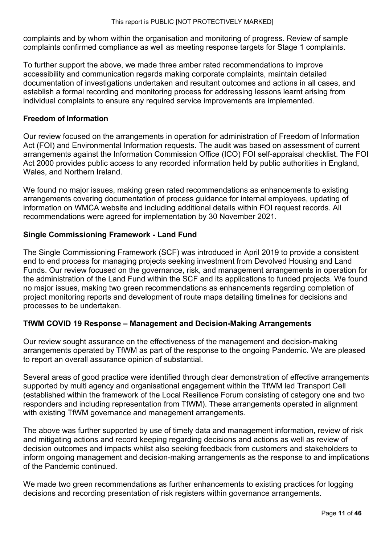complaints and by whom within the organisation and monitoring of progress. Review of sample complaints confirmed compliance as well as meeting response targets for Stage 1 complaints.

To further support the above, we made three amber rated recommendations to improve accessibility and communication regards making corporate complaints, maintain detailed documentation of investigations undertaken and resultant outcomes and actions in all cases, and establish a formal recording and monitoring process for addressing lessons learnt arising from individual complaints to ensure any required service improvements are implemented.

### **Freedom of Information**

Our review focused on the arrangements in operation for administration of Freedom of Information Act (FOI) and Environmental Information requests. The audit was based on assessment of current arrangements against the Information Commission Office (ICO) FOI self-appraisal checklist. The FOI Act 2000 provides public access to any recorded information held by public authorities in England, Wales, and Northern Ireland.

We found no major issues, making green rated recommendations as enhancements to existing arrangements covering documentation of process guidance for internal employees, updating of information on WMCA website and including additional details within FOI request records. All recommendations were agreed for implementation by 30 November 2021.

### **Single Commissioning Framework - Land Fund**

The Single Commissioning Framework (SCF) was introduced in April 2019 to provide a consistent end to end process for managing projects seeking investment from Devolved Housing and Land Funds. Our review focused on the governance, risk, and management arrangements in operation for the administration of the Land Fund within the SCF and its applications to funded projects. We found no major issues, making two green recommendations as enhancements regarding completion of project monitoring reports and development of route maps detailing timelines for decisions and processes to be undertaken.

### **TfWM COVID 19 Response – Management and Decision-Making Arrangements**

Our review sought assurance on the effectiveness of the management and decision-making arrangements operated by TfWM as part of the response to the ongoing Pandemic. We are pleased to report an overall assurance opinion of substantial.

Several areas of good practice were identified through clear demonstration of effective arrangements supported by multi agency and organisational engagement within the TfWM led Transport Cell (established within the framework of the Local Resilience Forum consisting of category one and two responders and including representation from TfWM). These arrangements operated in alignment with existing TfWM governance and management arrangements.

The above was further supported by use of timely data and management information, review of risk and mitigating actions and record keeping regarding decisions and actions as well as review of decision outcomes and impacts whilst also seeking feedback from customers and stakeholders to inform ongoing management and decision-making arrangements as the response to and implications of the Pandemic continued.

We made two green recommendations as further enhancements to existing practices for logging decisions and recording presentation of risk registers within governance arrangements.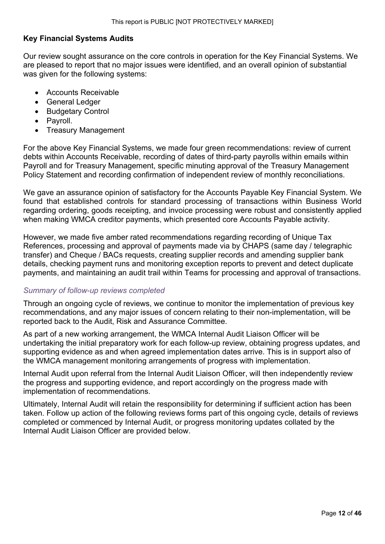### **Key Financial Systems Audits**

Our review sought assurance on the core controls in operation for the Key Financial Systems. We are pleased to report that no major issues were identified, and an overall opinion of substantial was given for the following systems:

- Accounts Receivable
- General Ledger
- Budgetary Control
- Payroll.
- Treasury Management

For the above Key Financial Systems, we made four green recommendations: review of current debts within Accounts Receivable, recording of dates of third-party payrolls within emails within Payroll and for Treasury Management, specific minuting approval of the Treasury Management Policy Statement and recording confirmation of independent review of monthly reconciliations.

We gave an assurance opinion of satisfactory for the Accounts Payable Key Financial System. We found that established controls for standard processing of transactions within Business World regarding ordering, goods receipting, and invoice processing were robust and consistently applied when making WMCA creditor payments, which presented core Accounts Payable activity.

However, we made five amber rated recommendations regarding recording of Unique Tax References, processing and approval of payments made via by CHAPS (same day / telegraphic transfer) and Cheque / BACs requests, creating supplier records and amending supplier bank details, checking payment runs and monitoring exception reports to prevent and detect duplicate payments, and maintaining an audit trail within Teams for processing and approval of transactions.

### *Summary of follow-up reviews completed*

Through an ongoing cycle of reviews, we continue to monitor the implementation of previous key recommendations, and any major issues of concern relating to their non-implementation, will be reported back to the Audit, Risk and Assurance Committee.

As part of a new working arrangement, the WMCA Internal Audit Liaison Officer will be undertaking the initial preparatory work for each follow-up review, obtaining progress updates, and supporting evidence as and when agreed implementation dates arrive. This is in support also of the WMCA management monitoring arrangements of progress with implementation.

Internal Audit upon referral from the Internal Audit Liaison Officer, will then independently review the progress and supporting evidence, and report accordingly on the progress made with implementation of recommendations.

Ultimately, Internal Audit will retain the responsibility for determining if sufficient action has been taken. Follow up action of the following reviews forms part of this ongoing cycle, details of reviews completed or commenced by Internal Audit, or progress monitoring updates collated by the Internal Audit Liaison Officer are provided below.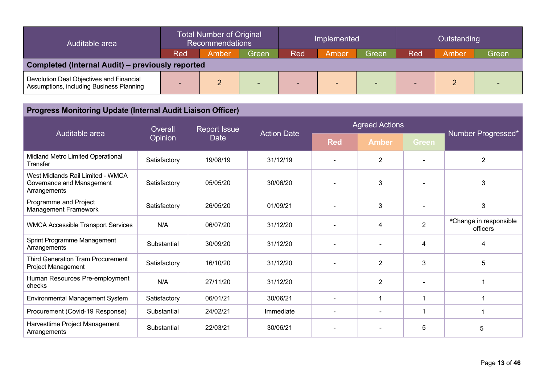| Auditable area                                                                       | <b>Total Number of Original</b><br><b>Recommendations</b> |       | Implemented              |     |       | Outstanding              |     |       |       |
|--------------------------------------------------------------------------------------|-----------------------------------------------------------|-------|--------------------------|-----|-------|--------------------------|-----|-------|-------|
|                                                                                      | Red                                                       | Amber | Green                    | Red | Amber | Green                    | Red | Amber | Green |
| Completed (Internal Audit) – previously reported                                     |                                                           |       |                          |     |       |                          |     |       |       |
| Devolution Deal Objectives and Financial<br>Assumptions, including Business Planning | -                                                         |       | $\overline{\phantom{a}}$ |     |       | $\overline{\phantom{a}}$ | -   |       |       |

#### **Progress Monitoring Update (Internal Audit Liaison Officer)** Agreed Actions Auditable area **Overall Opinion** Report Issue **Date** Action Date **Red Amber Green** Number Progressed\* Midland Metro Limited Operational **Transfer** Satisfactory | 19/08/19 | 31/12/19 | - | 2 | - | 2 West Midlands Rail Limited - WMCA Governance and Management **Arrangements** Satisfactory | 05/05/20 | 30/06/20 | - | 3 | - | 3 Programme and Project Programme and Project<br>Management Framework Satisfactory 26/05/20 01/09/21 - 3 - 3 WMCA Accessible Transport Services N/A 06/07/20 31/12/20 - 4 2 #Change in responsible officers Sprint Programme Management **Arrangements** Substantial | 30/09/20 | 31/12/20 | - | - | 4 | 4 Third Generation Tram Procurement Project Management Satisfactory | 16/10/20 | 31/12/20 | - | 2 | 3 | 5 Human Resources Pre-employment naman Resources Fre-employment | N/A | 27/11/20 | 31/12/20 | 2 | - | 1 Environmental Management System Satisfactory 06/01/21 30/06/21 - 1 1 1 1 1 1 1 Procurement (Covid-19 Response) Substantial 24/02/21 Immediate - - 1 1 1 1 1 Harvesttime Project Management **Arrangements** Substantial | 22/03/21 | 30/06/21 | - | - | 5 | 5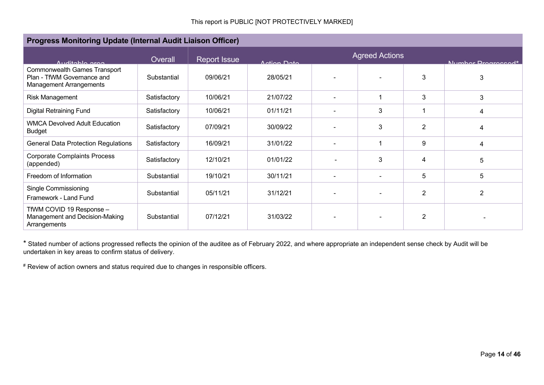| Progress Monitoring Update (Internal Audit Liaison Officer)                                         |              |                     |             |                          |                       |                |                    |
|-----------------------------------------------------------------------------------------------------|--------------|---------------------|-------------|--------------------------|-----------------------|----------------|--------------------|
| Auditable area                                                                                      | Overall      | <b>Report Issue</b> | Antion Data |                          | <b>Agreed Actions</b> |                | Number Drograpood* |
| <b>Commonwealth Games Transport</b><br>Plan - TfWM Governance and<br><b>Management Arrangements</b> | Substantial  | 09/06/21            | 28/05/21    |                          |                       | 3              | 3                  |
| Risk Management                                                                                     | Satisfactory | 10/06/21            | 21/07/22    | $\overline{\phantom{0}}$ |                       | 3              | 3                  |
| <b>Digital Retraining Fund</b>                                                                      | Satisfactory | 10/06/21            | 01/11/21    | $\overline{\phantom{0}}$ | 3                     |                | 4                  |
| <b>WMCA Devolved Adult Education</b><br><b>Budget</b>                                               | Satisfactory | 07/09/21            | 30/09/22    |                          | 3                     | 2              | 4                  |
| <b>General Data Protection Regulations</b>                                                          | Satisfactory | 16/09/21            | 31/01/22    |                          |                       | 9              | 4                  |
| <b>Corporate Complaints Process</b><br>(appended)                                                   | Satisfactory | 12/10/21            | 01/01/22    |                          | 3                     | 4              | 5                  |
| Freedom of Information                                                                              | Substantial  | 19/10/21            | 30/11/21    | $\overline{\phantom{a}}$ |                       | 5              | 5                  |
| Single Commissioning<br>Framework - Land Fund                                                       | Substantial  | 05/11/21            | 31/12/21    |                          |                       | 2              | $\overline{2}$     |
| TfWM COVID 19 Response -<br>Management and Decision-Making<br>Arrangements                          | Substantial  | 07/12/21            | 31/03/22    |                          |                       | $\overline{2}$ |                    |

\* Stated number of actions progressed reflects the opinion of the auditee as of February 2022, and where appropriate an independent sense check by Audit will be undertaken in key areas to confirm status of delivery.

# Review of action owners and status required due to changes in responsible officers.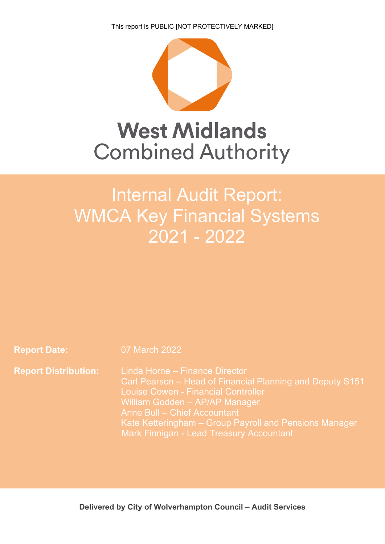This report is PUBLIC [NOT PROTECTIVELY MARKED]



# **West Midlands Combined Authority**

# **Deliverhamic Audit Report:** WMCA Key Financial Systems 2021 - 2022

**Report Date:** 07 March 2022

**Report Distribution:** Linda Horne – Finance Director Carl Pearson – Head of Financial Planning and Deputy S151 Louise Cowen - Financial Controller William Godden – AP/AP Manager Anne Bull – Chief Accountant Kate Ketteringham – Group Payroll and Pensions Manager Mark Finnigan - Lead Treasury Accountant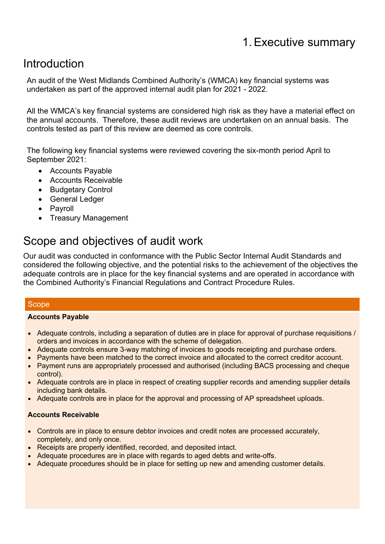# Introduction

An audit of the West Midlands Combined Authority's (WMCA) key financial systems was undertaken as part of the approved internal audit plan for 2021 - 2022.

All the WMCA's key financial systems are considered high risk as they have a material effect on the annual accounts. Therefore, these audit reviews are undertaken on an annual basis. The controls tested as part of this review are deemed as core controls.

The following key financial systems were reviewed covering the six-month period April to September 2021:

- Accounts Payable
- Accounts Receivable
- Budgetary Control
- General Ledger
- Pavroll
- Treasury Management

# Scope and objectives of audit work

Our audit was conducted in conformance with the Public Sector Internal Audit Standards and considered the following objective, and the potential risks to the achievement of the objectives the adequate controls are in place for the key financial systems and are operated in accordance with the Combined Authority's Financial Regulations and Contract Procedure Rules.

### **Scope**

### **Accounts Payable**

- Adequate controls, including a separation of duties are in place for approval of purchase requisitions / orders and invoices in accordance with the scheme of delegation.
- Adequate controls ensure 3-way matching of invoices to goods receipting and purchase orders.
- Payments have been matched to the correct invoice and allocated to the correct creditor account.
- Payment runs are appropriately processed and authorised (including BACS processing and cheque control).
- Adequate controls are in place in respect of creating supplier records and amending supplier details including bank details.
- Adequate controls are in place for the approval and processing of AP spreadsheet uploads.

### **Accounts Receivable**

- Controls are in place to ensure debtor invoices and credit notes are processed accurately, completely, and only once.
- Receipts are properly identified, recorded, and deposited intact.
- Adequate procedures are in place with regards to aged debts and write-offs.
- Adequate procedures should be in place for setting up new and amending customer details.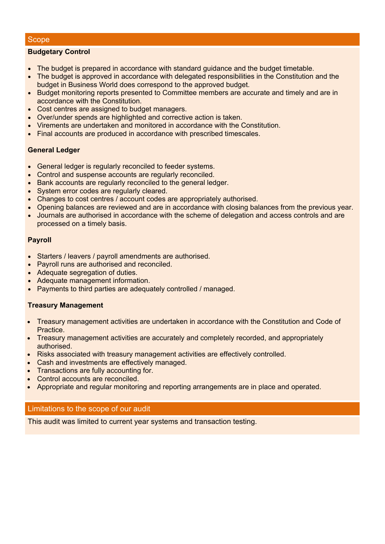### **Scope**

### **Budgetary Control**

- The budget is prepared in accordance with standard guidance and the budget timetable.
- The budget is approved in accordance with delegated responsibilities in the Constitution and the budget in Business World does correspond to the approved budget.
- Budget monitoring reports presented to Committee members are accurate and timely and are in accordance with the Constitution.
- Cost centres are assigned to budget managers.
- Over/under spends are highlighted and corrective action is taken.
- Virements are undertaken and monitored in accordance with the Constitution.
- Final accounts are produced in accordance with prescribed timescales.

### **General Ledger**

- General ledger is regularly reconciled to feeder systems.
- Control and suspense accounts are regularly reconciled.
- Bank accounts are regularly reconciled to the general ledger.
- System error codes are regularly cleared.
- Changes to cost centres / account codes are appropriately authorised.
- Opening balances are reviewed and are in accordance with closing balances from the previous year.
- Journals are authorised in accordance with the scheme of delegation and access controls and are processed on a timely basis.

### **Payroll**

- Starters / leavers / payroll amendments are authorised.
- Payroll runs are authorised and reconciled.
- Adequate segregation of duties.
- Adequate management information.
- Payments to third parties are adequately controlled / managed.

### **Treasury Management**

- Treasury management activities are undertaken in accordance with the Constitution and Code of Practice.
- Treasury management activities are accurately and completely recorded, and appropriately authorised.
- Risks associated with treasury management activities are effectively controlled.
- Cash and investments are effectively managed.
- Transactions are fully accounting for.
- Control accounts are reconciled.
- Appropriate and regular monitoring and reporting arrangements are in place and operated.

### Limitations to the scope of our audit

This audit was limited to current year systems and transaction testing.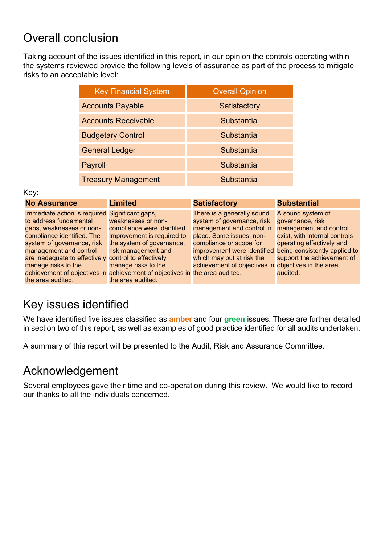# Overall conclusion

Taking account of the issues identified in this report, in our opinion the controls operating within the systems reviewed provide the following levels of assurance as part of the process to mitigate risks to an acceptable level:

| <b>Key Financial System</b> | <b>Overall Opinion</b> |
|-----------------------------|------------------------|
| <b>Accounts Payable</b>     | Satisfactory           |
| <b>Accounts Receivable</b>  | Substantial            |
| <b>Budgetary Control</b>    | Substantial            |
| <b>General Ledger</b>       | Substantial            |
| Payroll                     | Substantial            |
| <b>Treasury Management</b>  | Substantial            |

### Key:

| <b>No Assurance</b>                                  | <b>Limited</b>                                                              | <b>Satisfactory</b>                                 | <b>Substantial</b>                                        |
|------------------------------------------------------|-----------------------------------------------------------------------------|-----------------------------------------------------|-----------------------------------------------------------|
| Immediate action is required Significant gaps,       |                                                                             | There is a generally sound                          | A sound system of                                         |
| to address fundamental                               | weaknesses or non-                                                          | system of governance, risk                          | governance, risk                                          |
| gaps, weaknesses or non-                             | compliance were identified.                                                 | management and control in                           | management and control                                    |
| compliance identified. The                           | Improvement is required to                                                  | place. Some issues, non-                            | exist, with internal controls                             |
| system of governance, risk                           | the system of governance,                                                   | compliance or scope for                             | operating effectively and                                 |
| management and control                               | risk management and                                                         |                                                     | improvement were identified being consistently applied to |
| are inadequate to effectively control to effectively |                                                                             | which may put at risk the                           | support the achievement of                                |
| manage risks to the                                  | manage risks to the                                                         | achievement of objectives in objectives in the area |                                                           |
|                                                      | achievement of objectives in achievement of objectives in the area audited. |                                                     | audited.                                                  |
| the area audited.                                    | the area audited.                                                           |                                                     |                                                           |

# Key issues identified

We have identified five issues classified as **amber** and four **green** issues. These are further detailed in section two of this report, as well as examples of good practice identified for all audits undertaken.

A summary of this report will be presented to the Audit, Risk and Assurance Committee.

# Acknowledgement

Several employees gave their time and co-operation during this review. We would like to record our thanks to all the individuals concerned.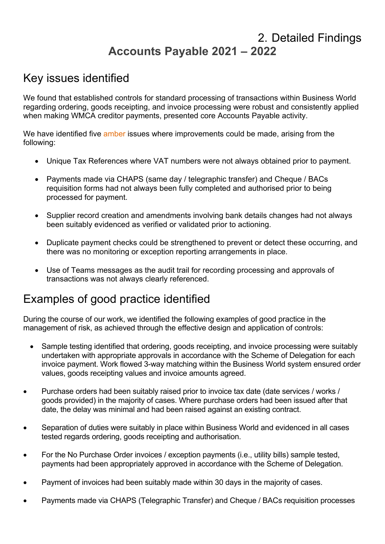# 2. Detailed Findings **Accounts Payable 2021 – 2022**

# Key issues identified

We found that established controls for standard processing of transactions within Business World regarding ordering, goods receipting, and invoice processing were robust and consistently applied when making WMCA creditor payments, presented core Accounts Payable activity.

We have identified five amber issues where improvements could be made, arising from the following:

- Unique Tax References where VAT numbers were not always obtained prior to payment.
- Payments made via CHAPS (same day / telegraphic transfer) and Cheque / BACs requisition forms had not always been fully completed and authorised prior to being processed for payment.
- Supplier record creation and amendments involving bank details changes had not always been suitably evidenced as verified or validated prior to actioning.
- Duplicate payment checks could be strengthened to prevent or detect these occurring, and there was no monitoring or exception reporting arrangements in place.
- Use of Teams messages as the audit trail for recording processing and approvals of transactions was not always clearly referenced.

# Examples of good practice identified

- Sample testing identified that ordering, goods receipting, and invoice processing were suitably undertaken with appropriate approvals in accordance with the Scheme of Delegation for each invoice payment. Work flowed 3-way matching within the Business World system ensured order values, goods receipting values and invoice amounts agreed.
- Purchase orders had been suitably raised prior to invoice tax date (date services / works / goods provided) in the majority of cases. Where purchase orders had been issued after that date, the delay was minimal and had been raised against an existing contract.
- Separation of duties were suitably in place within Business World and evidenced in all cases tested regards ordering, goods receipting and authorisation.
- For the No Purchase Order invoices / exception payments (i.e., utility bills) sample tested, payments had been appropriately approved in accordance with the Scheme of Delegation.
- Payment of invoices had been suitably made within 30 days in the majority of cases.
- Payments made via CHAPS (Telegraphic Transfer) and Cheque / BACs requisition processes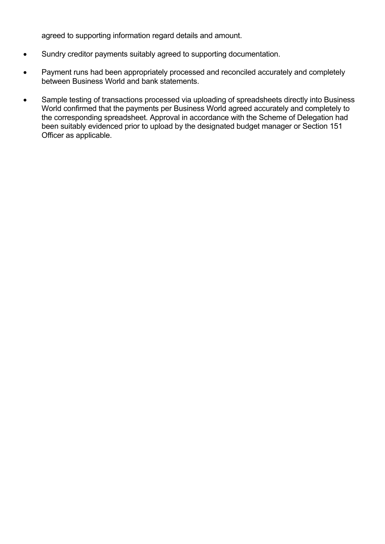agreed to supporting information regard details and amount.

- Sundry creditor payments suitably agreed to supporting documentation.
- Payment runs had been appropriately processed and reconciled accurately and completely between Business World and bank statements.
- Sample testing of transactions processed via uploading of spreadsheets directly into Business World confirmed that the payments per Business World agreed accurately and completely to the corresponding spreadsheet. Approval in accordance with the Scheme of Delegation had been suitably evidenced prior to upload by the designated budget manager or Section 151 Officer as applicable.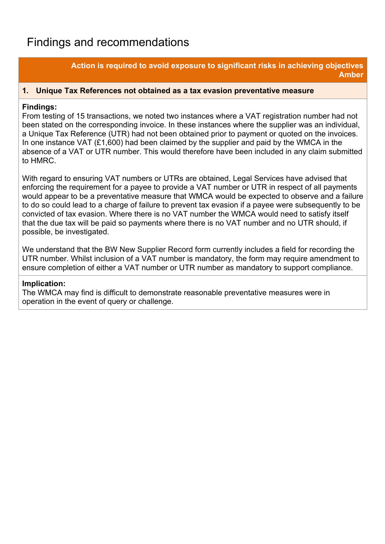# Findings and recommendations

### **Action is required to avoid exposure to significant risks in achieving objectives Amber**

### **1. Unique Tax References not obtained as a tax evasion preventative measure**

### **Findings:**

From testing of 15 transactions, we noted two instances where a VAT registration number had not been stated on the corresponding invoice. In these instances where the supplier was an individual, a Unique Tax Reference (UTR) had not been obtained prior to payment or quoted on the invoices. In one instance VAT (£1,600) had been claimed by the supplier and paid by the WMCA in the absence of a VAT or UTR number. This would therefore have been included in any claim submitted to HMRC.

With regard to ensuring VAT numbers or UTRs are obtained, Legal Services have advised that enforcing the requirement for a payee to provide a VAT number or UTR in respect of all payments would appear to be a preventative measure that WMCA would be expected to observe and a failure to do so could lead to a charge of failure to prevent tax evasion if a payee were subsequently to be convicted of tax evasion. Where there is no VAT number the WMCA would need to satisfy itself that the due tax will be paid so payments where there is no VAT number and no UTR should, if possible, be investigated.

We understand that the BW New Supplier Record form currently includes a field for recording the UTR number. Whilst inclusion of a VAT number is mandatory, the form may require amendment to ensure completion of either a VAT number or UTR number as mandatory to support compliance.

### **Implication:**

The WMCA may find is difficult to demonstrate reasonable preventative measures were in operation in the event of query or challenge.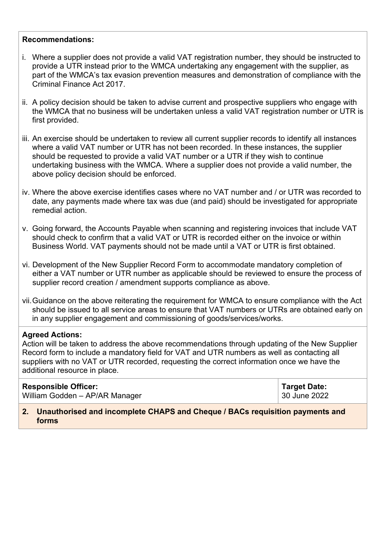### **Recommendations:**

- i. Where a supplier does not provide a valid VAT registration number, they should be instructed to provide a UTR instead prior to the WMCA undertaking any engagement with the supplier, as part of the WMCA's tax evasion prevention measures and demonstration of compliance with the Criminal Finance Act 2017.
- ii. A policy decision should be taken to advise current and prospective suppliers who engage with the WMCA that no business will be undertaken unless a valid VAT registration number or UTR is first provided.
- iii. An exercise should be undertaken to review all current supplier records to identify all instances where a valid VAT number or UTR has not been recorded. In these instances, the supplier should be requested to provide a valid VAT number or a UTR if they wish to continue undertaking business with the WMCA. Where a supplier does not provide a valid number, the above policy decision should be enforced.
- iv. Where the above exercise identifies cases where no VAT number and / or UTR was recorded to date, any payments made where tax was due (and paid) should be investigated for appropriate remedial action.
- v. Going forward, the Accounts Payable when scanning and registering invoices that include VAT should check to confirm that a valid VAT or UTR is recorded either on the invoice or within Business World. VAT payments should not be made until a VAT or UTR is first obtained.
- vi. Development of the New Supplier Record Form to accommodate mandatory completion of either a VAT number or UTR number as applicable should be reviewed to ensure the process of supplier record creation / amendment supports compliance as above.
- vii.Guidance on the above reiterating the requirement for WMCA to ensure compliance with the Act should be issued to all service areas to ensure that VAT numbers or UTRs are obtained early on in any supplier engagement and commissioning of goods/services/works.

### **Agreed Actions:**

Action will be taken to address the above recommendations through updating of the New Supplier Record form to include a mandatory field for VAT and UTR numbers as well as contacting all suppliers with no VAT or UTR recorded, requesting the correct information once we have the additional resource in place.

## **Responsible Officer:**

William Godden – AP/AR Manager

**Target Date:** 30 June 2022

**2. Unauthorised and incomplete CHAPS and Cheque / BACs requisition payments and forms**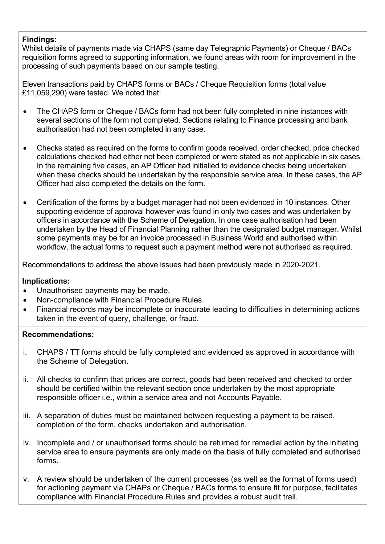### **Findings:**

Whilst details of payments made via CHAPS (same day Telegraphic Payments) or Cheque / BACs requisition forms agreed to supporting information, we found areas with room for improvement in the processing of such payments based on our sample testing.

Eleven transactions paid by CHAPS forms or BACs / Cheque Requisition forms (total value £11,059,290) were tested. We noted that:

- The CHAPS form or Cheque / BACs form had not been fully completed in nine instances with several sections of the form not completed. Sections relating to Finance processing and bank authorisation had not been completed in any case.
- Checks stated as required on the forms to confirm goods received, order checked, price checked calculations checked had either not been completed or were stated as not applicable in six cases. In the remaining five cases, an AP Officer had initialled to evidence checks being undertaken when these checks should be undertaken by the responsible service area. In these cases, the AP Officer had also completed the details on the form.
- Certification of the forms by a budget manager had not been evidenced in 10 instances. Other supporting evidence of approval however was found in only two cases and was undertaken by officers in accordance with the Scheme of Delegation. In one case authorisation had been undertaken by the Head of Financial Planning rather than the designated budget manager. Whilst some payments may be for an invoice processed in Business World and authorised within workflow, the actual forms to request such a payment method were not authorised as required.

Recommendations to address the above issues had been previously made in 2020-2021.

### **Implications:**

- Unauthorised payments may be made.
- Non-compliance with Financial Procedure Rules.
- Financial records may be incomplete or inaccurate leading to difficulties in determining actions taken in the event of query, challenge, or fraud.

### **Recommendations:**

- i. CHAPS / TT forms should be fully completed and evidenced as approved in accordance with the Scheme of Delegation.
- ii. All checks to confirm that prices are correct, goods had been received and checked to order should be certified within the relevant section once undertaken by the most appropriate responsible officer i.e., within a service area and not Accounts Payable.
- iii. A separation of duties must be maintained between requesting a payment to be raised, completion of the form, checks undertaken and authorisation.
- iv. Incomplete and / or unauthorised forms should be returned for remedial action by the initiating service area to ensure payments are only made on the basis of fully completed and authorised forms.
- v. A review should be undertaken of the current processes (as well as the format of forms used) for actioning payment via CHAPs or Cheque / BACs forms to ensure fit for purpose, facilitates compliance with Financial Procedure Rules and provides a robust audit trail.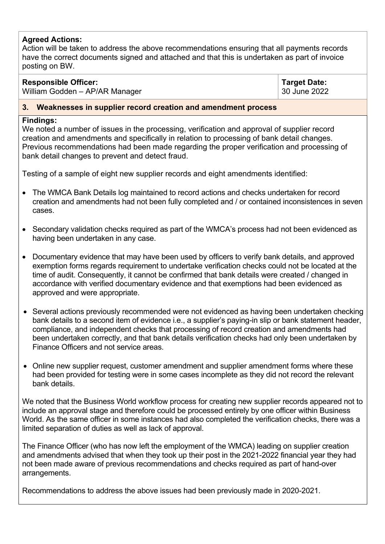### **Agreed Actions:**

Action will be taken to address the above recommendations ensuring that all payments records have the correct documents signed and attached and that this is undertaken as part of invoice posting on BW.

### **Responsible Officer:**

William Godden – AP/AR Manager

**Target Date:** 30 June 2022

### **3. Weaknesses in supplier record creation and amendment process**

### **Findings:**

We noted a number of issues in the processing, verification and approval of supplier record creation and amendments and specifically in relation to processing of bank detail changes. Previous recommendations had been made regarding the proper verification and processing of bank detail changes to prevent and detect fraud.

Testing of a sample of eight new supplier records and eight amendments identified:

- The WMCA Bank Details log maintained to record actions and checks undertaken for record creation and amendments had not been fully completed and / or contained inconsistences in seven cases.
- Secondary validation checks required as part of the WMCA's process had not been evidenced as having been undertaken in any case.
- Documentary evidence that may have been used by officers to verify bank details, and approved exemption forms regards requirement to undertake verification checks could not be located at the time of audit. Consequently, it cannot be confirmed that bank details were created / changed in accordance with verified documentary evidence and that exemptions had been evidenced as approved and were appropriate.
- Several actions previously recommended were not evidenced as having been undertaken checking bank details to a second item of evidence i.e., a supplier's paying-in slip or bank statement header, compliance, and independent checks that processing of record creation and amendments had been undertaken correctly, and that bank details verification checks had only been undertaken by Finance Officers and not service areas.
- Online new supplier request, customer amendment and supplier amendment forms where these had been provided for testing were in some cases incomplete as they did not record the relevant bank details.

We noted that the Business World workflow process for creating new supplier records appeared not to include an approval stage and therefore could be processed entirely by one officer within Business World. As the same officer in some instances had also completed the verification checks, there was a limited separation of duties as well as lack of approval.

The Finance Officer (who has now left the employment of the WMCA) leading on supplier creation and amendments advised that when they took up their post in the 2021-2022 financial year they had not been made aware of previous recommendations and checks required as part of hand-over arrangements.

Recommendations to address the above issues had been previously made in 2020-2021.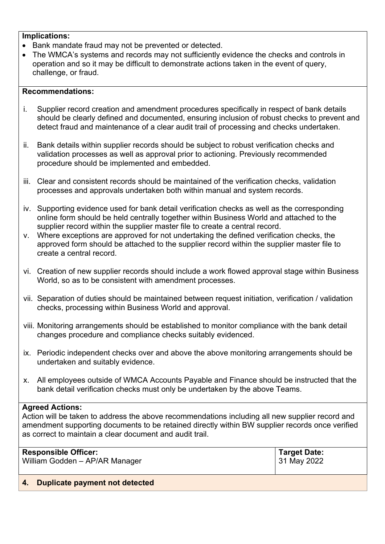### **Implications:**

- Bank mandate fraud may not be prevented or detected.
- The WMCA's systems and records may not sufficiently evidence the checks and controls in operation and so it may be difficult to demonstrate actions taken in the event of query, challenge, or fraud.

### **Recommendations:**

- i. Supplier record creation and amendment procedures specifically in respect of bank details should be clearly defined and documented, ensuring inclusion of robust checks to prevent and detect fraud and maintenance of a clear audit trail of processing and checks undertaken.
- ii. Bank details within supplier records should be subject to robust verification checks and validation processes as well as approval prior to actioning. Previously recommended procedure should be implemented and embedded.
- iii. Clear and consistent records should be maintained of the verification checks, validation processes and approvals undertaken both within manual and system records.
- iv. Supporting evidence used for bank detail verification checks as well as the corresponding online form should be held centrally together within Business World and attached to the supplier record within the supplier master file to create a central record.
- v. Where exceptions are approved for not undertaking the defined verification checks, the approved form should be attached to the supplier record within the supplier master file to create a central record.
- vi. Creation of new supplier records should include a work flowed approval stage within Business World, so as to be consistent with amendment processes.
- vii. Separation of duties should be maintained between request initiation, verification / validation checks, processing within Business World and approval.
- viii. Monitoring arrangements should be established to monitor compliance with the bank detail changes procedure and compliance checks suitably evidenced.
- ix. Periodic independent checks over and above the above monitoring arrangements should be undertaken and suitably evidence.
- x. All employees outside of WMCA Accounts Payable and Finance should be instructed that the bank detail verification checks must only be undertaken by the above Teams.

### **Agreed Actions:**

Action will be taken to address the above recommendations including all new supplier record and amendment supporting documents to be retained directly within BW supplier records once verified as correct to maintain a clear document and audit trail.

| <b>Responsible Officer:</b>    | Target Date: |
|--------------------------------|--------------|
| William Godden - AP/AR Manager | 31 May 2022  |
|                                |              |

### **4. Duplicate payment not detected**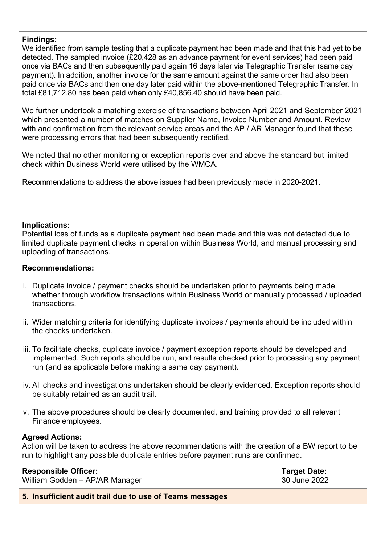### **Findings:**

We identified from sample testing that a duplicate payment had been made and that this had yet to be detected. The sampled invoice (£20,428 as an advance payment for event services) had been paid once via BACs and then subsequently paid again 16 days later via Telegraphic Transfer (same day payment). In addition, another invoice for the same amount against the same order had also been paid once via BACs and then one day later paid within the above-mentioned Telegraphic Transfer. In total £81,712.80 has been paid when only £40,856.40 should have been paid.

We further undertook a matching exercise of transactions between April 2021 and September 2021 which presented a number of matches on Supplier Name, Invoice Number and Amount. Review with and confirmation from the relevant service areas and the AP / AR Manager found that these were processing errors that had been subsequently rectified.

We noted that no other monitoring or exception reports over and above the standard but limited check within Business World were utilised by the WMCA.

Recommendations to address the above issues had been previously made in 2020-2021.

### **Implications:**

Potential loss of funds as a duplicate payment had been made and this was not detected due to limited duplicate payment checks in operation within Business World, and manual processing and uploading of transactions.

### **Recommendations:**

- i. Duplicate invoice / payment checks should be undertaken prior to payments being made, whether through workflow transactions within Business World or manually processed / uploaded transactions.
- ii. Wider matching criteria for identifying duplicate invoices / payments should be included within the checks undertaken.
- iii. To facilitate checks, duplicate invoice / payment exception reports should be developed and implemented. Such reports should be run, and results checked prior to processing any payment run (and as applicable before making a same day payment).
- iv. All checks and investigations undertaken should be clearly evidenced. Exception reports should be suitably retained as an audit trail.
- v. The above procedures should be clearly documented, and training provided to all relevant Finance employees.

### **Agreed Actions:**

Action will be taken to address the above recommendations with the creation of a BW report to be run to highlight any possible duplicate entries before payment runs are confirmed.

| <b>Responsible Officer:</b>                              | <b>Target Date:</b> |
|----------------------------------------------------------|---------------------|
| William Godden - AP/AR Manager                           | 30 June 2022        |
| 5. Insufficient audit trail due to use of Teams messages |                     |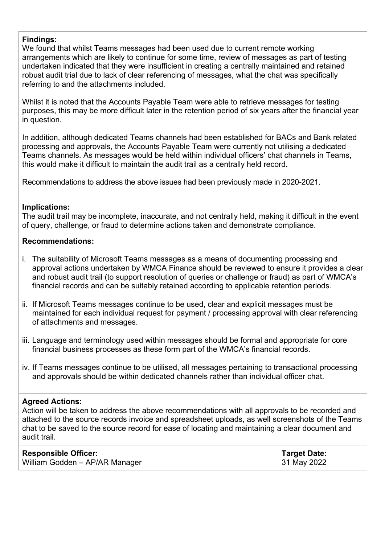### **Findings:**

We found that whilst Teams messages had been used due to current remote working arrangements which are likely to continue for some time, review of messages as part of testing undertaken indicated that they were insufficient in creating a centrally maintained and retained robust audit trial due to lack of clear referencing of messages, what the chat was specifically referring to and the attachments included.

Whilst it is noted that the Accounts Payable Team were able to retrieve messages for testing purposes, this may be more difficult later in the retention period of six years after the financial year in question.

In addition, although dedicated Teams channels had been established for BACs and Bank related processing and approvals, the Accounts Payable Team were currently not utilising a dedicated Teams channels. As messages would be held within individual officers' chat channels in Teams, this would make it difficult to maintain the audit trail as a centrally held record.

Recommendations to address the above issues had been previously made in 2020-2021.

### **Implications:**

The audit trail may be incomplete, inaccurate, and not centrally held, making it difficult in the event of query, challenge, or fraud to determine actions taken and demonstrate compliance.

### **Recommendations:**

- i. The suitability of Microsoft Teams messages as a means of documenting processing and approval actions undertaken by WMCA Finance should be reviewed to ensure it provides a clear and robust audit trail (to support resolution of queries or challenge or fraud) as part of WMCA's financial records and can be suitably retained according to applicable retention periods.
- ii. If Microsoft Teams messages continue to be used, clear and explicit messages must be maintained for each individual request for payment / processing approval with clear referencing of attachments and messages.
- iii. Language and terminology used within messages should be formal and appropriate for core financial business processes as these form part of the WMCA's financial records.
- iv. If Teams messages continue to be utilised, all messages pertaining to transactional processing and approvals should be within dedicated channels rather than individual officer chat.

### **Agreed Actions**:

Action will be taken to address the above recommendations with all approvals to be recorded and attached to the source records invoice and spreadsheet uploads, as well screenshots of the Teams chat to be saved to the source record for ease of locating and maintaining a clear document and audit trail.

| <b>Responsible Officer:</b>    | <b>Target Date:</b> |
|--------------------------------|---------------------|
| William Godden - AP/AR Manager | $\vert$ 31 May 2022 |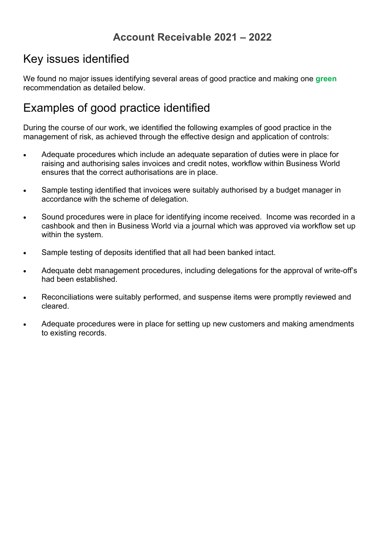# **Account Receivable 2021 – 2022**

# Key issues identified

We found no major issues identifying several areas of good practice and making one **green** recommendation as detailed below.

# Examples of good practice identified

- Adequate procedures which include an adequate separation of duties were in place for raising and authorising sales invoices and credit notes, workflow within Business World ensures that the correct authorisations are in place.
- Sample testing identified that invoices were suitably authorised by a budget manager in accordance with the scheme of delegation.
- Sound procedures were in place for identifying income received. Income was recorded in a cashbook and then in Business World via a journal which was approved via workflow set up within the system.
- Sample testing of deposits identified that all had been banked intact.
- Adequate debt management procedures, including delegations for the approval of write-off's had been established.
- Reconciliations were suitably performed, and suspense items were promptly reviewed and cleared.
- Adequate procedures were in place for setting up new customers and making amendments to existing records.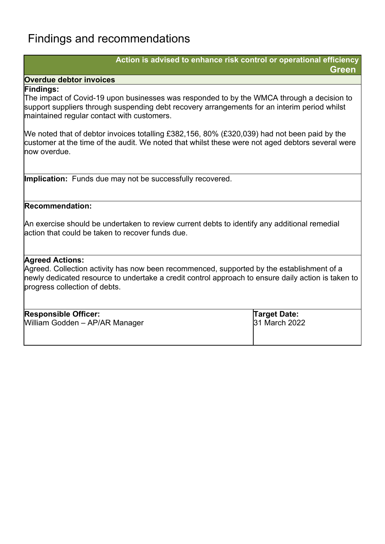# Findings and recommendations

### **Action is advised to enhance risk control or operational efficiency Green**

### **Overdue debtor invoices**

### **Findings:**

The impact of Covid-19 upon businesses was responded to by the WMCA through a decision to support suppliers through suspending debt recovery arrangements for an interim period whilst maintained regular contact with customers.

We noted that of debtor invoices totalling £382,156, 80% (£320,039) had not been paid by the customer at the time of the audit. We noted that whilst these were not aged debtors several were now overdue.

**Implication:** Funds due may not be successfully recovered.

### **Recommendation:**

An exercise should be undertaken to review current debts to identify any additional remedial action that could be taken to recover funds due.

### **Agreed Actions:**

Agreed. Collection activity has now been recommenced, supported by the establishment of a newly dedicated resource to undertake a credit control approach to ensure daily action is taken to progress collection of debts.

| <b>Responsible Officer:</b>    | Target Date:  |
|--------------------------------|---------------|
| William Godden - AP/AR Manager | 31 March 2022 |
|                                |               |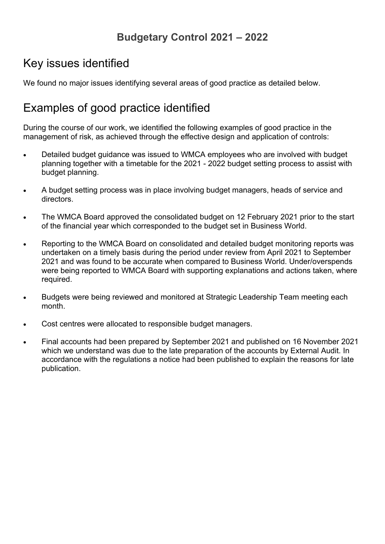# **Budgetary Control 2021 – 2022**

# Key issues identified

We found no major issues identifying several areas of good practice as detailed below.

# Examples of good practice identified

- Detailed budget guidance was issued to WMCA employees who are involved with budget planning together with a timetable for the 2021 - 2022 budget setting process to assist with budget planning.
- A budget setting process was in place involving budget managers, heads of service and directors.
- The WMCA Board approved the consolidated budget on 12 February 2021 prior to the start of the financial year which corresponded to the budget set in Business World.
- Reporting to the WMCA Board on consolidated and detailed budget monitoring reports was undertaken on a timely basis during the period under review from April 2021 to September 2021 and was found to be accurate when compared to Business World. Under/overspends were being reported to WMCA Board with supporting explanations and actions taken, where required.
- Budgets were being reviewed and monitored at Strategic Leadership Team meeting each month.
- Cost centres were allocated to responsible budget managers.
- Final accounts had been prepared by September 2021 and published on 16 November 2021 which we understand was due to the late preparation of the accounts by External Audit. In accordance with the regulations a notice had been published to explain the reasons for late publication.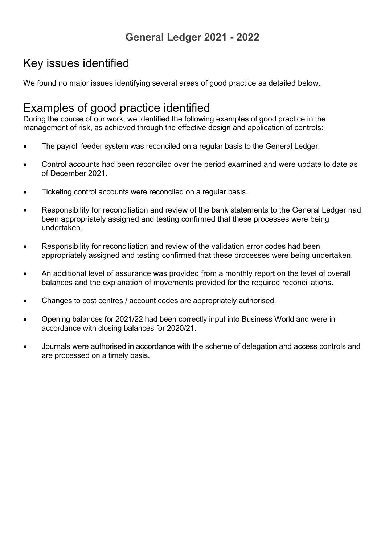# **General Ledger 2021 - 2022**

# Key issues identified

We found no major issues identifying several areas of good practice as detailed below.

# Examples of good practice identified

- The payroll feeder system was reconciled on a regular basis to the General Ledger.
- Control accounts had been reconciled over the period examined and were update to date as of December 2021.
- Ticketing control accounts were reconciled on a regular basis.
- Responsibility for reconciliation and review of the bank statements to the General Ledger had been appropriately assigned and testing confirmed that these processes were being undertaken.
- Responsibility for reconciliation and review of the validation error codes had been appropriately assigned and testing confirmed that these processes were being undertaken.
- An additional level of assurance was provided from a monthly report on the level of overall balances and the explanation of movements provided for the required reconciliations.
- Changes to cost centres / account codes are appropriately authorised.
- Opening balances for 2021/22 had been correctly input into Business World and were in accordance with closing balances for 2020/21.
- Journals were authorised in accordance with the scheme of delegation and access controls and are processed on a timely basis.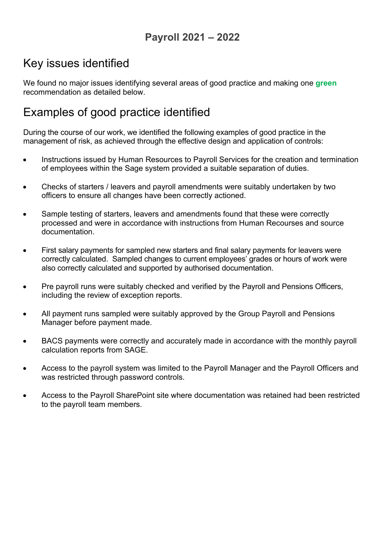# **Payroll 2021 – 2022**

# Key issues identified

We found no major issues identifying several areas of good practice and making one **green** recommendation as detailed below.

# Examples of good practice identified

- Instructions issued by Human Resources to Payroll Services for the creation and termination of employees within the Sage system provided a suitable separation of duties.
- Checks of starters / leavers and payroll amendments were suitably undertaken by two officers to ensure all changes have been correctly actioned.
- Sample testing of starters, leavers and amendments found that these were correctly processed and were in accordance with instructions from Human Recourses and source documentation.
- First salary payments for sampled new starters and final salary payments for leavers were correctly calculated. Sampled changes to current employees' grades or hours of work were also correctly calculated and supported by authorised documentation.
- Pre payroll runs were suitably checked and verified by the Payroll and Pensions Officers, including the review of exception reports.
- All payment runs sampled were suitably approved by the Group Payroll and Pensions Manager before payment made.
- BACS payments were correctly and accurately made in accordance with the monthly payroll calculation reports from SAGE.
- Access to the payroll system was limited to the Payroll Manager and the Payroll Officers and was restricted through password controls.
- Access to the Payroll SharePoint site where documentation was retained had been restricted to the payroll team members.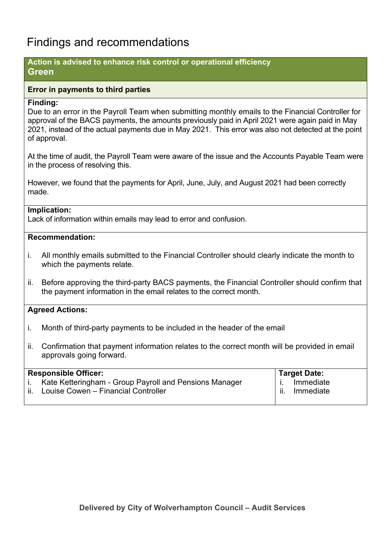# Findings and recommendations

### **Action is advised to enhance risk control or operational efficiency Green**

### **Error in payments to third parties**

### **Finding:**

Due to an error in the Payroll Team when submitting monthly emails to the Financial Controller for approval of the BACS payments, the amounts previously paid in April 2021 were again paid in May 2021, instead of the actual payments due in May 2021. This error was also not detected at the point of approval.

At the time of audit, the Payroll Team were aware of the issue and the Accounts Payable Team were in the process of resolving this.

However, we found that the payments for April, June, July, and August 2021 had been correctly made.

### **Implication:**

Lack of information within emails may lead to error and confusion.

### **Recommendation:**

- i. All monthly emails submitted to the Financial Controller should clearly indicate the month to which the payments relate.
- ii. Before approving the third-party BACS payments, the Financial Controller should confirm that the payment information in the email relates to the correct month.

### **Agreed Actions:**

- i. Month of third-party payments to be included in the header of the email
- ii. Confirmation that payment information relates to the correct month will be provided in email approvals going forward.

| <b>Responsible Officer:</b>                            | <b>Target Date:</b>         |
|--------------------------------------------------------|-----------------------------|
| Kate Ketteringham - Group Payroll and Pensions Manager | Immediate                   |
| Louise Cowen - Financial Controller                    | Immediate<br>$\mathbf{H}$ . |
|                                                        |                             |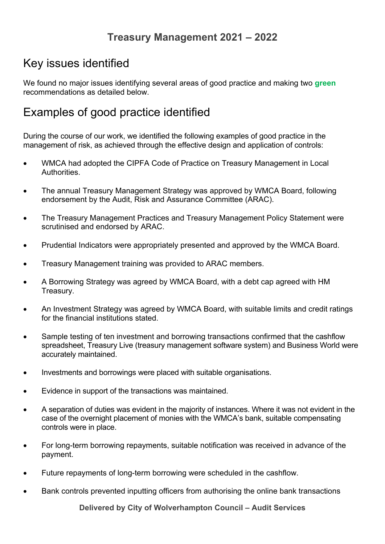# Key issues identified

We found no major issues identifying several areas of good practice and making two **green** recommendations as detailed below.

# Examples of good practice identified

During the course of our work, we identified the following examples of good practice in the management of risk, as achieved through the effective design and application of controls:

- WMCA had adopted the CIPFA Code of Practice on Treasury Management in Local **Authorities**
- The annual Treasury Management Strategy was approved by WMCA Board, following endorsement by the Audit, Risk and Assurance Committee (ARAC).
- The Treasury Management Practices and Treasury Management Policy Statement were scrutinised and endorsed by ARAC.
- Prudential Indicators were appropriately presented and approved by the WMCA Board.
- Treasury Management training was provided to ARAC members.
- A Borrowing Strategy was agreed by WMCA Board, with a debt cap agreed with HM Treasury.
- An Investment Strategy was agreed by WMCA Board, with suitable limits and credit ratings for the financial institutions stated.
- Sample testing of ten investment and borrowing transactions confirmed that the cashflow spreadsheet, Treasury Live (treasury management software system) and Business World were accurately maintained.
- Investments and borrowings were placed with suitable organisations.
- Evidence in support of the transactions was maintained.
- A separation of duties was evident in the majority of instances. Where it was not evident in the case of the overnight placement of monies with the WMCA's bank, suitable compensating controls were in place.
- For long-term borrowing repayments, suitable notification was received in advance of the payment.
- Future repayments of long-term borrowing were scheduled in the cashflow.
- Bank controls prevented inputting officers from authorising the online bank transactions

**Delivered by City of Wolverhampton Council – Audit Services**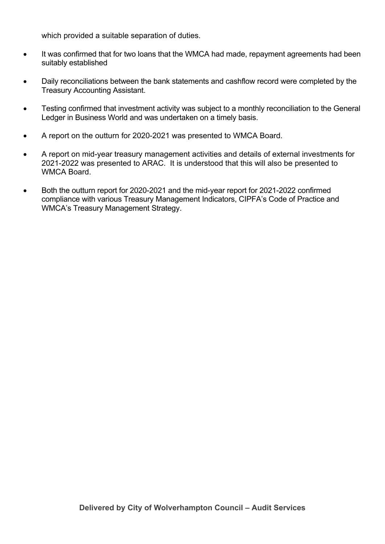which provided a suitable separation of duties.

- It was confirmed that for two loans that the WMCA had made, repayment agreements had been suitably established
- Daily reconciliations between the bank statements and cashflow record were completed by the Treasury Accounting Assistant.
- Testing confirmed that investment activity was subject to a monthly reconciliation to the General Ledger in Business World and was undertaken on a timely basis.
- A report on the outturn for 2020-2021 was presented to WMCA Board.
- A report on mid-year treasury management activities and details of external investments for 2021-2022 was presented to ARAC. It is understood that this will also be presented to WMCA Board.
- Both the outturn report for 2020-2021 and the mid-year report for 2021-2022 confirmed compliance with various Treasury Management Indicators, CIPFA's Code of Practice and WMCA's Treasury Management Strategy.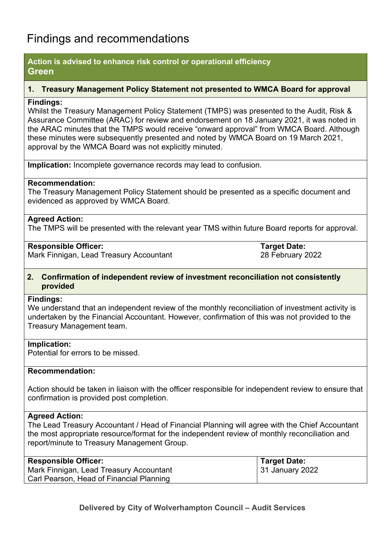# Findings and recommendations

### **Action is advised to enhance risk control or operational efficiency Green**

### **1. Treasury Management Policy Statement not presented to WMCA Board for approval**

### **Findings:**

Whilst the Treasury Management Policy Statement (TMPS) was presented to the Audit, Risk & Assurance Committee (ARAC) for review and endorsement on 18 January 2021, it was noted in the ARAC minutes that the TMPS would receive "onward approval" from WMCA Board. Although these minutes were subsequently presented and noted by WMCA Board on 19 March 2021, approval by the WMCA Board was not explicitly minuted.

**Implication:** Incomplete governance records may lead to confusion.

### **Recommendation:**

The Treasury Management Policy Statement should be presented as a specific document and evidenced as approved by WMCA Board.

### **Agreed Action:**

The TMPS will be presented with the relevant year TMS within future Board reports for approval.

### **Responsible Officer:**

Mark Finnigan, Lead Treasury Accountant

**Target Date:** 28 February 2022

### **2. Confirmation of independent review of investment reconciliation not consistently provided**

### **Findings:**

We understand that an independent review of the monthly reconciliation of investment activity is undertaken by the Financial Accountant. However, confirmation of this was not provided to the Treasury Management team.

### **Implication:**

Potential for errors to be missed.

### **Recommendation:**

Action should be taken in liaison with the officer responsible for independent review to ensure that confirmation is provided post completion.

### **Agreed Action:**

The Lead Treasury Accountant / Head of Financial Planning will agree with the Chief Accountant the most appropriate resource/format for the independent review of monthly reconciliation and report/minute to Treasury Management Group.

| <b>Responsible Officer:</b>              | ˈ Target Date:  |
|------------------------------------------|-----------------|
| Mark Finnigan, Lead Treasury Accountant  | 31 January 2022 |
| Carl Pearson, Head of Financial Planning |                 |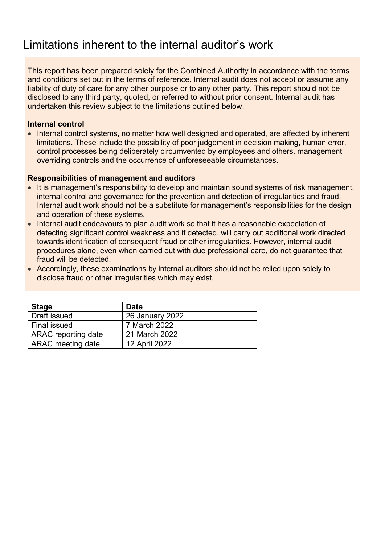# Limitations inherent to the internal auditor's work

This report has been prepared solely for the Combined Authority in accordance with the terms and conditions set out in the terms of reference. Internal audit does not accept or assume any liability of duty of care for any other purpose or to any other party. This report should not be disclosed to any third party, quoted, or referred to without prior consent. Internal audit has undertaken this review subject to the limitations outlined below.

### **Internal control**

• Internal control systems, no matter how well designed and operated, are affected by inherent limitations. These include the possibility of poor judgement in decision making, human error, control processes being deliberately circumvented by employees and others, management overriding controls and the occurrence of unforeseeable circumstances.

### **Responsibilities of management and auditors**

- It is management's responsibility to develop and maintain sound systems of risk management, internal control and governance for the prevention and detection of irregularities and fraud. Internal audit work should not be a substitute for management's responsibilities for the design and operation of these systems.
- Internal audit endeavours to plan audit work so that it has a reasonable expectation of detecting significant control weakness and if detected, will carry out additional work directed towards identification of consequent fraud or other irregularities. However, internal audit procedures alone, even when carried out with due professional care, do not guarantee that fraud will be detected.
- Accordingly, these examinations by internal auditors should not be relied upon solely to disclose fraud or other irregularities which may exist.

| <b>Stage</b>             | <b>Date</b>     |
|--------------------------|-----------------|
| Draft issued             | 26 January 2022 |
| <b>Final issued</b>      | 7 March 2022    |
| ARAC reporting date      | 21 March 2022   |
| <b>ARAC</b> meeting date | 12 April 2022   |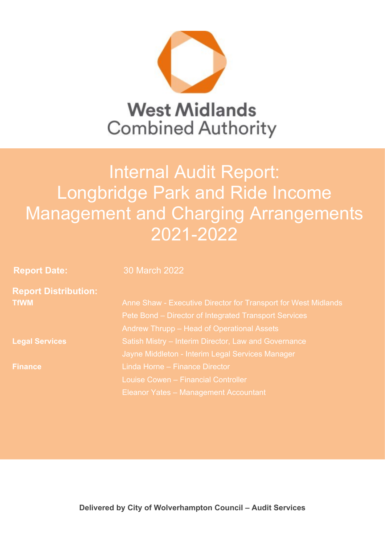

# **Reportal Longbridge Park and Ride Income** Internal Audit Report: Management and Charging Arrangements 2021-2022

**Report Date:** 30 March 2022

|             | <b>Report Distribution:</b> |
|-------------|-----------------------------|
| <b>TfWM</b> |                             |

**Legal Services** Satish Mistry – Interim Director, Law and Governance Anne Shaw - Executive Director for Transport for West Midlands Pete Bond – Director of Integrated Transport Services Andrew Thrupp – Head of Operational Assets Jayne Middleton - Interim Legal Services Manager **Finance** Linda Horne – Finance Director Louise Cowen – Financial Controller Eleanor Yates – Management Accountant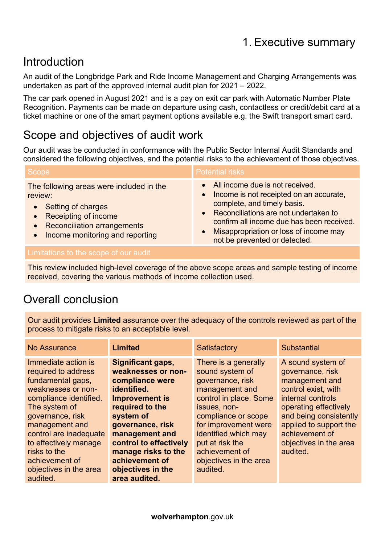# Introduction

An audit of the Longbridge Park and Ride Income Management and Charging Arrangements was undertaken as part of the approved internal audit plan for 2021 – 2022.

The car park opened in August 2021 and is a pay on exit car park with Automatic Number Plate Recognition. Payments can be made on departure using cash, contactless or credit/debit card at a ticket machine or one of the smart payment options available e.g. the Swift transport smart card.

# Scope and objectives of audit work

Our audit was be conducted in conformance with the Public Sector Internal Audit Standards and considered the following objectives, and the potential risks to the achievement of those objectives.

| Scope                                    | <b>Potential risks</b>                    |
|------------------------------------------|-------------------------------------------|
| The following areas were included in the | • All income due is not received.         |
| review:                                  | • Income is not receipted on an accurate, |
| • Setting of charges                     | complete, and timely basis.               |
| • Receipting of income                   | • Reconciliations are not undertaken to   |
| • Reconciliation arrangements            | confirm all income due has been received. |
| Income monitoring and reporting          | • Misappropriation or loss of income may  |
| $\bullet$                                | not be prevented or detected.             |

This review included high-level coverage of the above scope areas and sample testing of income received, covering the various methods of income collection used.

# Overall conclusion

Our audit provides **Limited** assurance over the adequacy of the controls reviewed as part of the process to mitigate risks to an acceptable level.

| No Assurance                                                                                                                                                                                                                                                                          | <b>Limited</b>                                                                                                                                                                                                                                                          | Satisfactory                                                                                                                                                                                                                                                              | <b>Substantial</b>                                                                                                                                                                                                                       |
|---------------------------------------------------------------------------------------------------------------------------------------------------------------------------------------------------------------------------------------------------------------------------------------|-------------------------------------------------------------------------------------------------------------------------------------------------------------------------------------------------------------------------------------------------------------------------|---------------------------------------------------------------------------------------------------------------------------------------------------------------------------------------------------------------------------------------------------------------------------|------------------------------------------------------------------------------------------------------------------------------------------------------------------------------------------------------------------------------------------|
| Immediate action is<br>required to address<br>fundamental gaps,<br>weaknesses or non-<br>compliance identified.<br>The system of<br>governance, risk<br>management and<br>control are inadequate<br>to effectively manage<br>risks to the<br>achievement of<br>objectives in the area | <b>Significant gaps,</b><br>weaknesses or non-<br>compliance were<br>identified.<br><b>Improvement is</b><br>required to the<br>system of<br>governance, risk<br>management and<br>control to effectively<br>manage risks to the<br>achievement of<br>objectives in the | There is a generally<br>sound system of<br>governance, risk<br>management and<br>control in place. Some<br>issues, non-<br>compliance or scope<br>for improvement were<br>identified which may<br>put at risk the<br>achievement of<br>objectives in the area<br>audited. | A sound system of<br>governance, risk<br>management and<br>control exist, with<br>internal controls<br>operating effectively<br>and being consistently<br>applied to support the<br>achievement of<br>objectives in the area<br>audited. |
| audited.                                                                                                                                                                                                                                                                              | area audited.                                                                                                                                                                                                                                                           |                                                                                                                                                                                                                                                                           |                                                                                                                                                                                                                                          |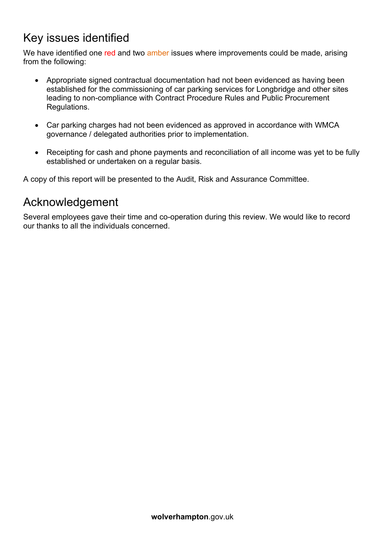# Key issues identified

We have identified one red and two amber issues where improvements could be made, arising from the following:

- Appropriate signed contractual documentation had not been evidenced as having been established for the commissioning of car parking services for Longbridge and other sites leading to non-compliance with Contract Procedure Rules and Public Procurement Regulations.
- Car parking charges had not been evidenced as approved in accordance with WMCA governance / delegated authorities prior to implementation.
- Receipting for cash and phone payments and reconciliation of all income was yet to be fully established or undertaken on a regular basis.

A copy of this report will be presented to the Audit, Risk and Assurance Committee.

# Acknowledgement

Several employees gave their time and co-operation during this review. We would like to record our thanks to all the individuals concerned.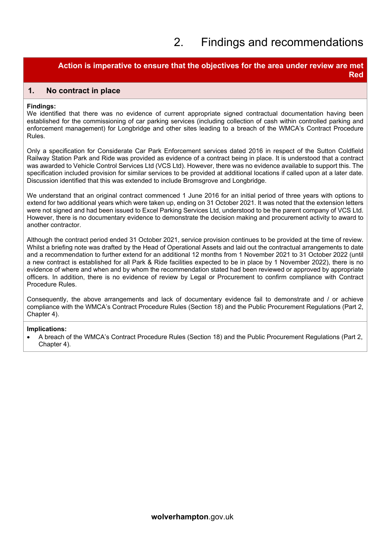# 2. Findings and recommendations

### **Action is imperative to ensure that the objectives for the area under review are met Red**

### **1. No contract in place**

#### **Findings:**

We identified that there was no evidence of current appropriate signed contractual documentation having been established for the commissioning of car parking services (including collection of cash within controlled parking and enforcement management) for Longbridge and other sites leading to a breach of the WMCA's Contract Procedure Rules.

Only a specification for Considerate Car Park Enforcement services dated 2016 in respect of the Sutton Coldfield Railway Station Park and Ride was provided as evidence of a contract being in place. It is understood that a contract was awarded to Vehicle Control Services Ltd (VCS Ltd). However, there was no evidence available to support this. The specification included provision for similar services to be provided at additional locations if called upon at a later date. Discussion identified that this was extended to include Bromsgrove and Longbridge.

We understand that an original contract commenced 1 June 2016 for an initial period of three years with options to extend for two additional years which were taken up, ending on 31 October 2021. It was noted that the extension letters were not signed and had been issued to Excel Parking Services Ltd, understood to be the parent company of VCS Ltd. However, there is no documentary evidence to demonstrate the decision making and procurement activity to award to another contractor.

Although the contract period ended 31 October 2021, service provision continues to be provided at the time of review. Whilst a briefing note was drafted by the Head of Operational Assets and laid out the contractual arrangements to date and a recommendation to further extend for an additional 12 months from 1 November 2021 to 31 October 2022 (until a new contract is established for all Park & Ride facilities expected to be in place by 1 November 2022), there is no evidence of where and when and by whom the recommendation stated had been reviewed or approved by appropriate officers. In addition, there is no evidence of review by Legal or Procurement to confirm compliance with Contract Procedure Rules.

Consequently, the above arrangements and lack of documentary evidence fail to demonstrate and / or achieve compliance with the WMCA's Contract Procedure Rules (Section 18) and the Public Procurement Regulations (Part 2, Chapter 4).

#### **Implications:**

 A breach of the WMCA's Contract Procedure Rules (Section 18) and the Public Procurement Regulations (Part 2, Chapter 4).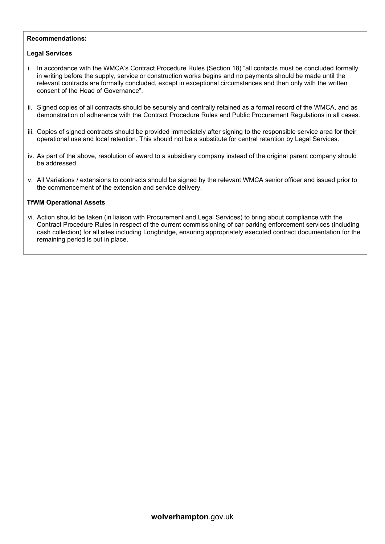#### **Recommendations:**

#### **Legal Services**

- i. In accordance with the WMCA's Contract Procedure Rules (Section 18) "all contacts must be concluded formally in writing before the supply, service or construction works begins and no payments should be made until the relevant contracts are formally concluded, except in exceptional circumstances and then only with the written consent of the Head of Governance".
- ii. Signed copies of all contracts should be securely and centrally retained as a formal record of the WMCA, and as demonstration of adherence with the Contract Procedure Rules and Public Procurement Regulations in all cases.
- iii. Copies of signed contracts should be provided immediately after signing to the responsible service area for their operational use and local retention. This should not be a substitute for central retention by Legal Services.
- iv. As part of the above, resolution of award to a subsidiary company instead of the original parent company should be addressed.
- v. All Variations / extensions to contracts should be signed by the relevant WMCA senior officer and issued prior to the commencement of the extension and service delivery.

#### **TfWM Operational Assets**

vi. Action should be taken (in liaison with Procurement and Legal Services) to bring about compliance with the Contract Procedure Rules in respect of the current commissioning of car parking enforcement services (including cash collection) for all sites including Longbridge, ensuring appropriately executed contract documentation for the remaining period is put in place.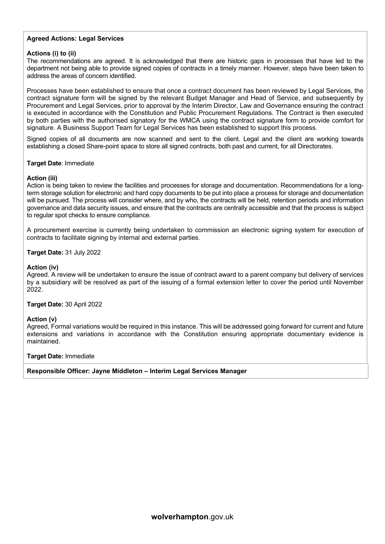#### **Agreed Actions: Legal Services**

#### **Actions (i) to (ii)**

The recommendations are agreed. It is acknowledged that there are historic gaps in processes that have led to the department not being able to provide signed copies of contracts in a timely manner. However, steps have been taken to address the areas of concern identified.

Processes have been established to ensure that once a contract document has been reviewed by Legal Services, the contract signature form will be signed by the relevant Budget Manager and Head of Service, and subsequently by Procurement and Legal Services, prior to approval by the Interim Director, Law and Governance ensuring the contract is executed in accordance with the Constitution and Public Procurement Regulations. The Contract is then executed by both parties with the authorised signatory for the WMCA using the contract signature form to provide comfort for signature. A Business Support Team for Legal Services has been established to support this process.

Signed copies of all documents are now scanned and sent to the client. Legal and the client are working towards establishing a closed Share-point space to store all signed contracts, both past and current, for all Directorates.

#### **Target Date**: Immediate

#### **Action (iii)**

Action is being taken to review the facilities and processes for storage and documentation. Recommendations for a longterm storage solution for electronic and hard copy documents to be put into place a process for storage and documentation will be pursued. The process will consider where, and by who, the contracts will be held, retention periods and information governance and data security issues, and ensure that the contracts are centrally accessible and that the process is subject to regular spot checks to ensure compliance.

A procurement exercise is currently being undertaken to commission an electronic signing system for execution of contracts to facilitate signing by internal and external parties.

#### **Target Date:** 31 July 2022

#### **Action (iv)**

Agreed. A review will be undertaken to ensure the issue of contract award to a parent company but delivery of services by a subsidiary will be resolved as part of the issuing of a formal extension letter to cover the period until November 2022.

#### **Target Date:** 30 April 2022

#### **Action (v)**

Agreed, Formal variations would be required in this instance. This will be addressed going forward for current and future extensions and variations in accordance with the Constitution ensuring appropriate documentary evidence is maintained.

#### **Target Date:** Immediate

**Responsible Officer: Jayne Middleton – Interim Legal Services Manager**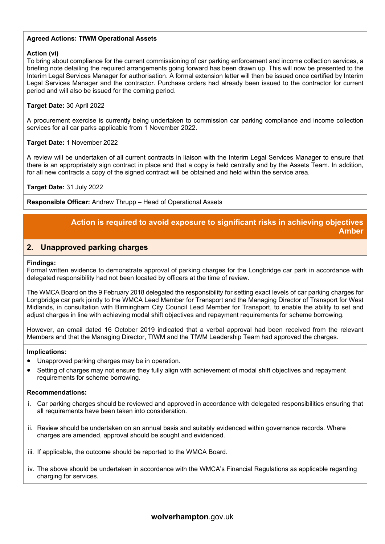### **Agreed Actions: TfWM Operational Assets**

#### **Action (vi)**

To bring about compliance for the current commissioning of car parking enforcement and income collection services, a briefing note detailing the required arrangements going forward has been drawn up. This will now be presented to the Interim Legal Services Manager for authorisation. A formal extension letter will then be issued once certified by Interim Legal Services Manager and the contractor. Purchase orders had already been issued to the contractor for current period and will also be issued for the coming period.

#### **Target Date:** 30 April 2022

A procurement exercise is currently being undertaken to commission car parking compliance and income collection services for all car parks applicable from 1 November 2022.

#### **Target Date:** 1 November 2022

A review will be undertaken of all current contracts in liaison with the Interim Legal Services Manager to ensure that there is an appropriately sign contract in place and that a copy is held centrally and by the Assets Team. In addition, for all new contracts a copy of the signed contract will be obtained and held within the service area.

#### **Target Date:** 31 July 2022

**Responsible Officer:** Andrew Thrupp – Head of Operational Assets

### **Action is required to avoid exposure to significant risks in achieving objectives Amber**

#### **2. Unapproved parking charges**

#### **Findings:**

Formal written evidence to demonstrate approval of parking charges for the Longbridge car park in accordance with delegated responsibility had not been located by officers at the time of review.

The WMCA Board on the 9 February 2018 delegated the responsibility for setting exact levels of car parking charges for Longbridge car park jointly to the WMCA Lead Member for Transport and the Managing Director of Transport for West Midlands, in consultation with Birmingham City Council Lead Member for Transport, to enable the ability to set and adjust charges in line with achieving modal shift objectives and repayment requirements for scheme borrowing.

However, an email dated 16 October 2019 indicated that a verbal approval had been received from the relevant Members and that the Managing Director, TfWM and the TfWM Leadership Team had approved the charges.

#### **Implications:**

- Unapproved parking charges may be in operation.
- Setting of charges may not ensure they fully align with achievement of modal shift objectives and repayment requirements for scheme borrowing.

#### **Recommendations:**

- i. Car parking charges should be reviewed and approved in accordance with delegated responsibilities ensuring that all requirements have been taken into consideration.
- ii. Review should be undertaken on an annual basis and suitably evidenced within governance records. Where charges are amended, approval should be sought and evidenced.
- iii. If applicable, the outcome should be reported to the WMCA Board.
- iv. The above should be undertaken in accordance with the WMCA's Financial Regulations as applicable regarding charging for services.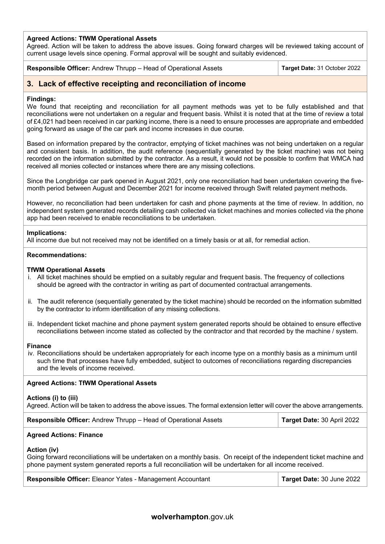#### **Agreed Actions: TfWM Operational Assets**

Agreed. Action will be taken to address the above issues. Going forward charges will be reviewed taking account of current usage levels since opening. Formal approval will be sought and suitably evidenced.

## **Responsible Officer:** Andrew Thrupp – Head of Operational Assets **Target Date:** 31 October 2022

### **3. Lack of effective receipting and reconciliation of income**

#### **Findings:**

We found that receipting and reconciliation for all payment methods was yet to be fully established and that reconciliations were not undertaken on a regular and frequent basis. Whilst it is noted that at the time of review a total of £4,021 had been received in car parking income, there is a need to ensure processes are appropriate and embedded going forward as usage of the car park and income increases in due course.

Based on information prepared by the contractor, emptying of ticket machines was not being undertaken on a regular and consistent basis. In addition, the audit reference (sequentially generated by the ticket machine) was not being recorded on the information submitted by the contractor. As a result, it would not be possible to confirm that WMCA had received all monies collected or instances where there are any missing collections.

Since the Longbridge car park opened in August 2021, only one reconciliation had been undertaken covering the fivemonth period between August and December 2021 for income received through Swift related payment methods.

However, no reconciliation had been undertaken for cash and phone payments at the time of review. In addition, no independent system generated records detailing cash collected via ticket machines and monies collected via the phone app had been received to enable reconciliations to be undertaken.

#### **Implications:**

All income due but not received may not be identified on a timely basis or at all, for remedial action.

#### **Recommendations:**

#### **TfWM Operational Assets**

- i. All ticket machines should be emptied on a suitably regular and frequent basis. The frequency of collections should be agreed with the contractor in writing as part of documented contractual arrangements.
- ii. The audit reference (sequentially generated by the ticket machine) should be recorded on the information submitted by the contractor to inform identification of any missing collections.
- iii. Independent ticket machine and phone payment system generated reports should be obtained to ensure effective reconciliations between income stated as collected by the contractor and that recorded by the machine / system.

#### **Finance**

iv. Reconciliations should be undertaken appropriately for each income type on a monthly basis as a minimum until such time that processes have fully embedded, subject to outcomes of reconciliations regarding discrepancies and the levels of income received.

#### **Agreed Actions: TfWM Operational Assets**

#### **Actions (i) to (iii)**

Agreed. Action will be taken to address the above issues. The formal extension letter will cover the above arrangements.

| <b>Responsible Officer:</b> Andrew Thrupp – Head of Operational Assets | Target Date: 30 April 2022 |
|------------------------------------------------------------------------|----------------------------|
|------------------------------------------------------------------------|----------------------------|

#### **Agreed Actions: Finance**

#### **Action (iv)**

Going forward reconciliations will be undertaken on a monthly basis. On receipt of the independent ticket machine and phone payment system generated reports a full reconciliation will be undertaken for all income received.

| Responsible Officer: Eleanor Yates - Management Accountant | Target Date: 30 June 2022 |
|------------------------------------------------------------|---------------------------|
|------------------------------------------------------------|---------------------------|